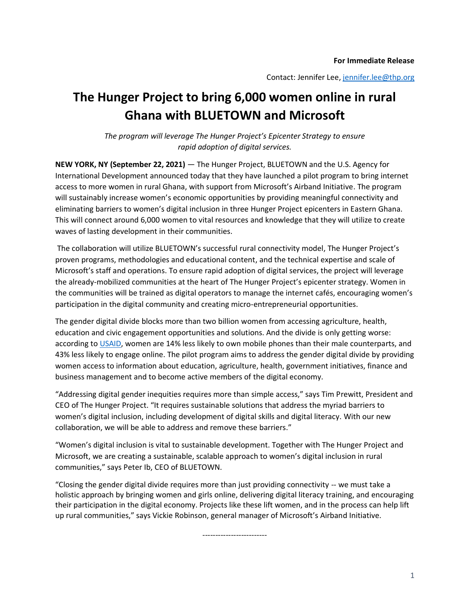Contact: Jennifer Lee[, jennifer.lee@thp.org](mailto:jennifer.lee@thp.org)

## **The Hunger Project to bring 6,000 women online in rural Ghana with BLUETOWN and Microsoft**

*The program will leverage The Hunger Project's Epicenter Strategy to ensure rapid adoption of digital services.*

**NEW YORK, NY (September 22, 2021)** — The Hunger Project, BLUETOWN and the U.S. Agency for International Development announced today that they have launched a pilot program to bring internet access to more women in rural Ghana, with support from Microsoft's Airband Initiative. The program will sustainably increase women's economic opportunities by providing meaningful connectivity and eliminating barriers to women's digital inclusion in three Hunger Project epicenters in Eastern Ghana. This will connect around 6,000 women to vital resources and knowledge that they will utilize to create waves of lasting development in their communities.

The collaboration will utilize BLUETOWN's successful rural connectivity model, The Hunger Project's proven programs, methodologies and educational content, and the technical expertise and scale of Microsoft's staff and operations. To ensure rapid adoption of digital services, the project will leverage the already-mobilized communities at the heart of The Hunger Project's epicenter strategy. Women in the communities will be trained as digital operators to manage the internet cafés, encouraging women's participation in the digital community and creating micro-entrepreneurial opportunities.

The gender digital divide blocks more than two billion women from accessing agriculture, health, education and civic engagement opportunities and solutions. And the divide is only getting worse: according to [USAID,](https://www.usaid.gov/usaid-digital-strategy) women are 14% less likely to own mobile phones than their male counterparts, and 43% less likely to engage online. The pilot program aims to address the gender digital divide by providing women access to information about education, agriculture, health, government initiatives, finance and business management and to become active members of the digital economy.

"Addressing digital gender inequities requires more than simple access," says Tim Prewitt, President and CEO of The Hunger Project. "It requires sustainable solutions that address the myriad barriers to women's digital inclusion, including development of digital skills and digital literacy. With our new collaboration, we will be able to address and remove these barriers."

"Women's digital inclusion is vital to sustainable development. Together with The Hunger Project and Microsoft, we are creating a sustainable, scalable approach to women's digital inclusion in rural communities," says Peter Ib, CEO of BLUETOWN.

"Closing the gender digital divide requires more than just providing connectivity -- we must take a holistic approach by bringing women and girls online, delivering digital literacy training, and encouraging their participation in the digital economy. Projects like these lift women, and in the process can help lift up rural communities," says Vickie Robinson, general manager of Microsoft's Airband Initiative.

-------------------------